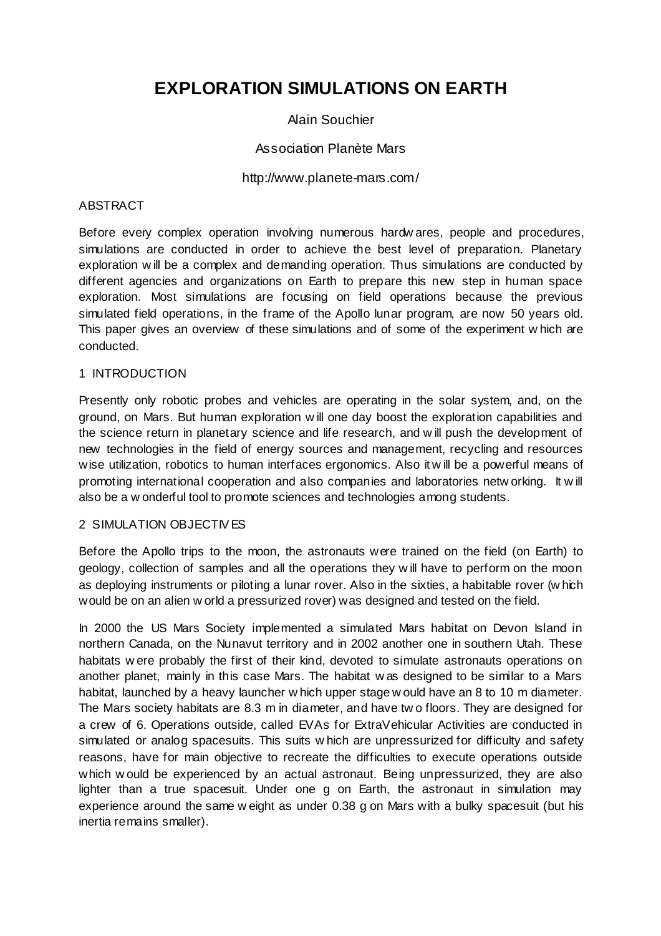# **EXPLORATION SIMULATIONS ON EARTH**

## Alain Souchier

## Association Planète Mars

#### http://www.planete-mars.com/

#### ABSTRACT

Before every complex operation involving numerous hardw ares, people and procedures, simulations are conducted in order to achieve the best level of preparation. Planetary exploration w ill be a complex and demanding operation. Thus simulations are conducted by different agencies and organizations on Earth to prepare this new step in human space exploration. Most simulations are focusing on field operations because the previous simulated field operations, in the frame of the Apollo lunar program, are now 50 years old. This paper gives an overview of these simulations and of some of the experiment w hich are conducted.

## 1 INTRODUCTION

Presently only robotic probes and vehicles are operating in the solar system, and, on the ground, on Mars. But human exploration w ill one day boost the exploration capabilities and the science return in planetary science and life research, and w ill push the development of new technologies in the field of energy sources and management, recycling and resources wise utilization, robotics to human interfaces ergonomics. Also it w ill be a powerful means of promoting international cooperation and also companies and laboratories netw orking. It w ill also be a w onderful tool to promote sciences and technologies among students.

#### 2 SIMULATION OBJECTIV ES

Before the Apollo trips to the moon, the astronauts were trained on the field (on Earth) to geology, collection of samples and all the operations they w ill have to perform on the moon as deploying instruments or piloting a lunar rover. Also in the sixties, a habitable rover (w hich would be on an alien w orld a pressurized rover) was designed and tested on the field.

In 2000 the US Mars Society implemented a simulated Mars habitat on Devon Island in northern Canada, on the Nunavut territory and in 2002 another one in southern Utah. These habitats w ere probably the first of their kind, devoted to simulate astronauts operations on another planet, mainly in this case Mars. The habitat w as designed to be similar to a Mars habitat, launched by a heavy launcher w hich upper stage w ould have an 8 to 10 m diameter. The Mars society habitats are 8.3 m in diameter, and have tw o floors. They are designed for a crew of 6. Operations outside, called EVAs for ExtraVehicular Activities are conducted in simulated or analog spacesuits. This suits w hich are unpressurized for difficulty and safety reasons, have for main objective to recreate the difficulties to execute operations outside which w ould be experienced by an actual astronaut. Being unpressurized, they are also lighter than a true spacesuit. Under one g on Earth, the astronaut in simulation may experience around the same w eight as under 0.38 g on Mars with a bulky spacesuit (but his inertia remains smaller).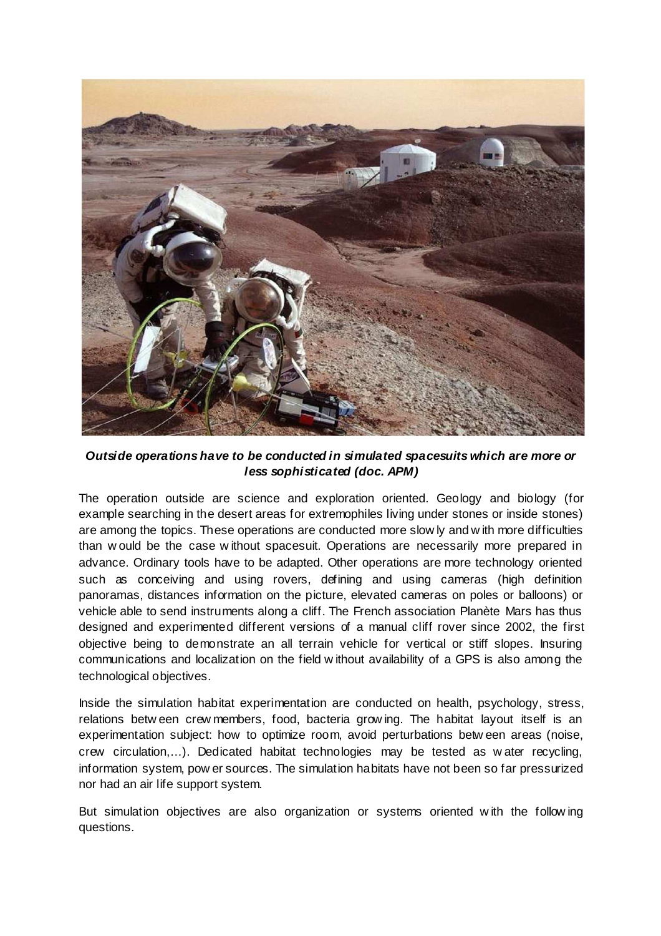

**Outside operations have to be conducted in simulated spacesuits which are more or less sophisticated (doc. APM)** 

The operation outside are science and exploration oriented. Geology and biology (for example searching in the desert areas for extremophiles living under stones or inside stones) are among the topics. These operations are conducted more slow ly and w ith more difficulties than w ould be the case w ithout spacesuit. Operations are necessarily more prepared in advance. Ordinary tools have to be adapted. Other operations are more technology oriented such as conceiving and using rovers, defining and using cameras (high definition panoramas, distances information on the picture, elevated cameras on poles or balloons) or vehicle able to send instruments along a cliff. The French association Planète Mars has thus designed and experimented different versions of a manual cliff rover since 2002, the first objective being to demonstrate an all terrain vehicle for vertical or stiff slopes. Insuring communications and localization on the field w ithout availability of a GPS is also among the technological objectives.

Inside the simulation habitat experimentation are conducted on health, psychology, stress, relations betw een crew members, food, bacteria grow ing. The habitat layout itself is an experimentation subject: how to optimize room, avoid perturbations betw een areas (noise, crew circulation,…). Dedicated habitat technologies may be tested as w ater recycling, information system, pow er sources. The simulation habitats have not been so far pressurized nor had an air life support system.

But simulation objectives are also organization or systems oriented w ith the follow ing questions.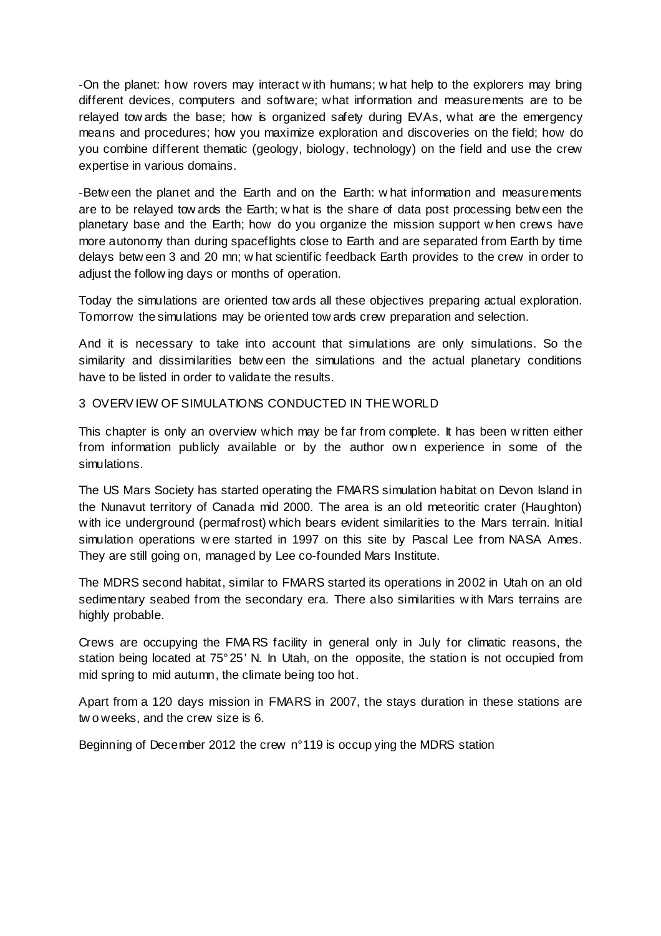-On the planet: how rovers may interact w ith humans; w hat help to the explorers may bring different devices, computers and software; what information and measurements are to be relayed tow ards the base; how is organized safety during EVAs, what are the emergency means and procedures; how you maximize exploration and discoveries on the field; how do you combine different thematic (geology, biology, technology) on the field and use the crew expertise in various domains.

-Betw een the planet and the Earth and on the Earth: w hat information and measurements are to be relayed tow ards the Earth; w hat is the share of data post processing betw een the planetary base and the Earth; how do you organize the mission support w hen crews have more autonomy than during spaceflights close to Earth and are separated from Earth by time delays betw een 3 and 20 mn; w hat scientific feedback Earth provides to the crew in order to adjust the follow ing days or months of operation.

Today the simulations are oriented tow ards all these objectives preparing actual exploration. Tomorrow the simulations may be oriented tow ards crew preparation and selection.

And it is necessary to take into account that simulations are only simulations. So the similarity and dissimilarities betw een the simulations and the actual planetary conditions have to be listed in order to validate the results.

3 OVERV IEW OF SIMULATIONS CONDUCTED IN THE WORLD

This chapter is only an overview which may be far from complete. It has been w ritten either from information publicly available or by the author own experience in some of the simulations.

The US Mars Society has started operating the FMARS simulation habitat on Devon Island in the Nunavut territory of Canada mid 2000. The area is an old meteoritic crater (Haughton) with ice underground (permafrost) which bears evident similarities to the Mars terrain. Initial simulation operations w ere started in 1997 on this site by Pascal Lee from NASA Ames. They are still going on, managed by Lee co-founded Mars Institute.

The MDRS second habitat, similar to FMARS started its operations in 2002 in Utah on an old sedimentary seabed from the secondary era. There also similarities w ith Mars terrains are highly probable.

Crews are occupying the FMA RS facility in general only in July for climatic reasons, the station being located at 75° 25' N. In Utah, on the opposite, the station is not occupied from mid spring to mid autumn, the climate being too hot.

Apart from a 120 days mission in FMARS in 2007, the stays duration in these stations are tw o weeks, and the crew size is 6.

Beginning of December 2012 the crew n° 119 is occup ying the MDRS station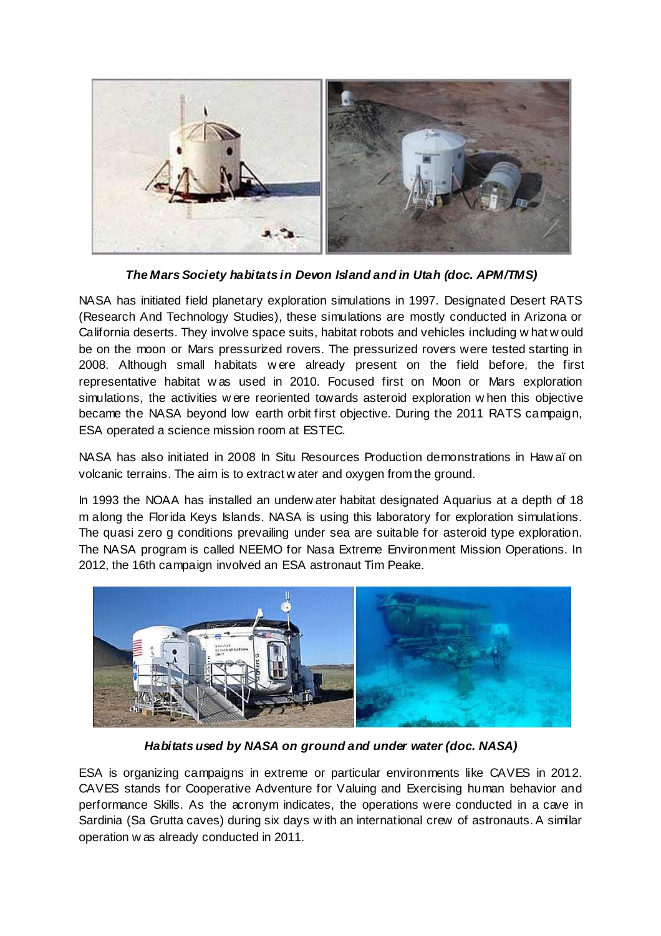

**The Mars Society habitats in Devon Island and in Utah (doc. APM/TMS)** 

NASA has initiated field planetary exploration simulations in 1997. Designated Desert RATS (Research And Technology Studies), these simulations are mostly conducted in Arizona or California deserts. They involve space suits, habitat robots and vehicles including w hat w ould be on the moon or Mars pressurized rovers. The pressurized rovers were tested starting in 2008. Although small habitats w ere already present on the field before, the first representative habitat w as used in 2010. Focused first on Moon or Mars exploration simulations, the activities w ere reoriented towards asteroid exploration w hen this objective became the NASA beyond low earth orbit first objective. During the 2011 RATS campaign, ESA operated a science mission room at ESTEC.

NASA has also initiated in 2008 In Situ Resources Production demonstrations in Haw aï on volcanic terrains. The aim is to extract w ater and oxygen from the ground.

In 1993 the NOAA has installed an underw ater habitat designated Aquarius at a depth of 18 m along the Florida Keys Islands. NASA is using this laboratory for exploration simulations. The quasi zero g conditions prevailing under sea are suitable for asteroid type exploration. The NASA program is called NEEMO for Nasa Extreme Environment Mission Operations. In 2012, the 16th campaign involved an ESA astronaut Tim Peake.



**Habitats used by NASA on ground and under water (doc. NASA)** 

ESA is organizing campaigns in extreme or particular environments like CAVES in 2012. CAVES stands for Cooperative Adventure for Valuing and Exercising human behavior and performance Skills. As the acronym indicates, the operations were conducted in a cave in Sardinia (Sa Grutta caves) during six days w ith an international crew of astronauts. A similar operation w as already conducted in 2011.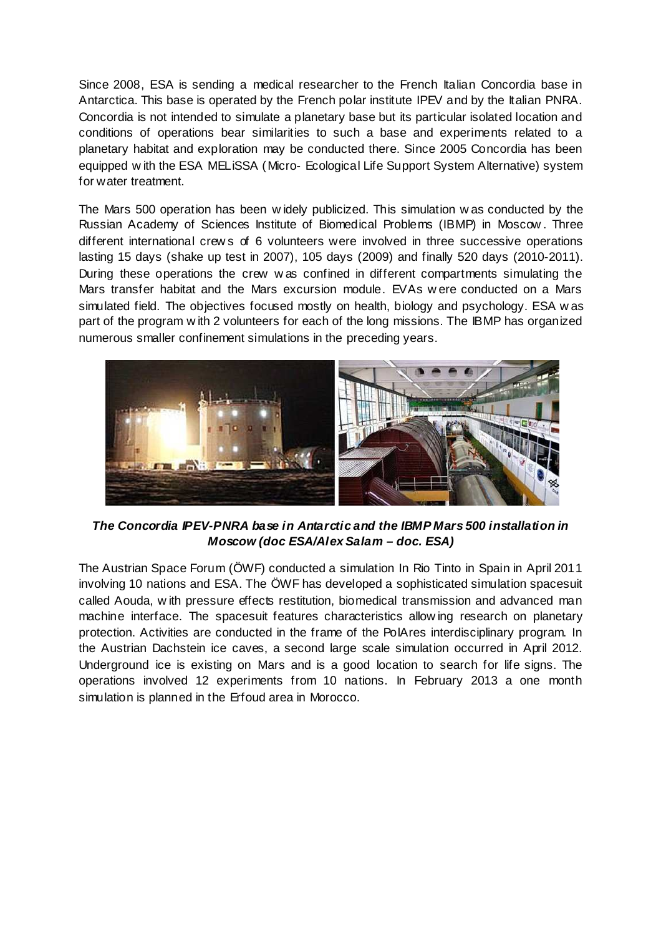Since 2008, ESA is sending a medical researcher to the French Italian Concordia base in Antarctica. This base is operated by the French polar institute IPEV and by the Italian PNRA. Concordia is not intended to simulate a planetary base but its particular isolated location and conditions of operations bear similarities to such a base and experiments related to a planetary habitat and exploration may be conducted there. Since 2005 Concordia has been equipped w ith the ESA MELiSSA (Micro- Ecological Life Support System Alternative) system for water treatment.

The Mars 500 operation has been w idely publicized. This simulation w as conducted by the Russian Academy of Sciences Institute of Biomedical Problems (IBMP) in Moscow . Three different international crew s of 6 volunteers were involved in three successive operations lasting 15 days (shake up test in 2007), 105 days (2009) and finally 520 days (2010-2011). During these operations the crew w as confined in different compartments simulating the Mars transfer habitat and the Mars excursion module. EVAs w ere conducted on a Mars simulated field. The objectives focused mostly on health, biology and psychology. ESA w as part of the program w ith 2 volunteers for each of the long missions. The IBMP has organized numerous smaller confinement simulations in the preceding years.



**The Concordia IPEV-PNRA base in Antarctic and the IBMP Mars 500 installation in Moscow (doc ESA/Alex Salam – doc. ESA)** 

The Austrian Space Forum (ÖWF) conducted a simulation In Rio Tinto in Spain in April 2011 involving 10 nations and ESA. The ÖWF has developed a sophisticated simulation spacesuit called Aouda, w ith pressure effects restitution, biomedical transmission and advanced man machine interface. The spacesuit features characteristics allow ing research on planetary protection. Activities are conducted in the frame of the PolAres interdisciplinary program. In the Austrian Dachstein ice caves, a second large scale simulation occurred in April 2012. Underground ice is existing on Mars and is a good location to search for life signs. The operations involved 12 experiments from 10 nations. In February 2013 a one month simulation is planned in the Erfoud area in Morocco.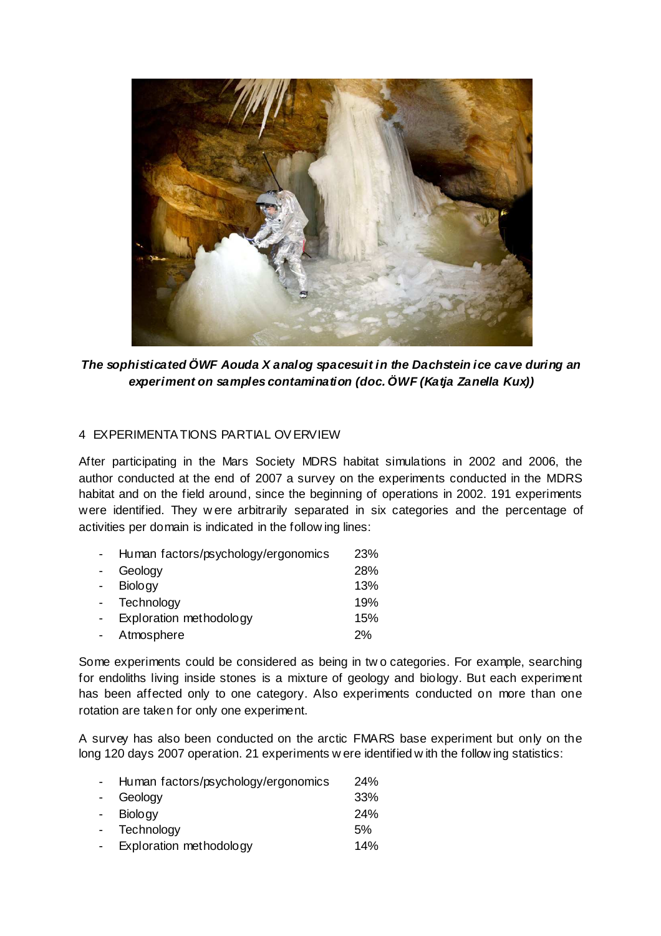

**The sophisticated ÖWF Aouda X analog spacesuit in the Dachstein ice cave during an experiment on samples contamination (doc. ÖWF (Katja Zanella Kux))** 

### 4 EXPERIMENTA TIONS PARTIAL OV ERVIEW

After participating in the Mars Society MDRS habitat simulations in 2002 and 2006, the author conducted at the end of 2007 a survey on the experiments conducted in the MDRS habitat and on the field around, since the beginning of operations in 2002. 191 experiments were identified. They w ere arbitrarily separated in six categories and the percentage of activities per domain is indicated in the follow ing lines:

| Human factors/psychology/ergonomics | 23% |
|-------------------------------------|-----|
| Geology                             | 28% |
| <b>Biology</b>                      | 13% |
| Technology                          | 19% |
| Exploration methodology             | 15% |
| Atmosphere                          | 2%  |

Some experiments could be considered as being in tw o categories. For example, searching for endoliths living inside stones is a mixture of geology and biology. But each experiment has been affected only to one category. Also experiments conducted on more than one rotation are taken for only one experiment.

A survey has also been conducted on the arctic FMARS base experiment but only on the long 120 days 2007 operation. 21 experiments w ere identified w ith the follow ing statistics:

| $\sim$          | Human factors/psychology/ergonomics | <b>24%</b> |
|-----------------|-------------------------------------|------------|
| $\sim$ 10 $\pm$ | Geology                             | 33%        |
| $\sim$          | <b>Biology</b>                      | 24%        |
| $\sim 100$      | Technology                          | 5%         |
|                 | - Exploration methodology           | 14%        |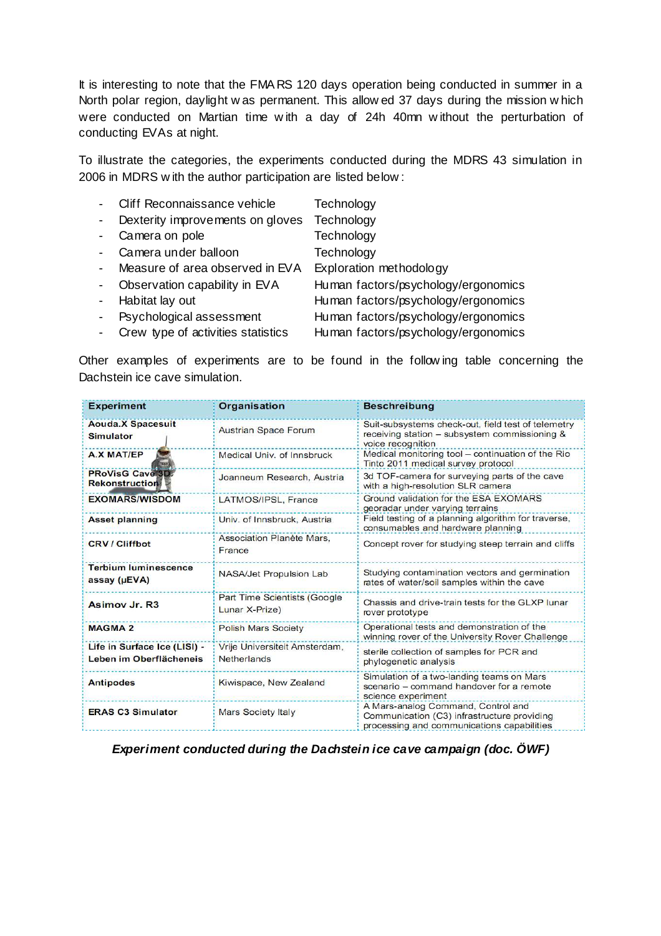It is interesting to note that the FMA RS 120 days operation being conducted in summer in a North polar region, daylight w as permanent. This allow ed 37 days during the mission w hich were conducted on Martian time w ith a day of 24h 40mn w ithout the perturbation of conducting EVAs at night.

To illustrate the categories, the experiments conducted during the MDRS 43 simulation in 2006 in MDRS w ith the author participation are listed below :

|                          | Cliff Reconnaissance vehicle       | Technology                          |
|--------------------------|------------------------------------|-------------------------------------|
| $\sim$                   | Dexterity improvements on gloves   | Technology                          |
| $\overline{\phantom{a}}$ | Camera on pole                     | Technology                          |
|                          | Camera under balloon               | Technology                          |
| $\sim 10$                | Measure of area observed in EVA    | Exploration methodology             |
| $\sim$                   | Observation capability in EVA      | Human factors/psychology/ergonomics |
| $\sim$ $-$               | Habitat lay out                    | Human factors/psychology/ergonomics |
| $\sim$                   | Psychological assessment           | Human factors/psychology/ergonomics |
| $\overline{\phantom{a}}$ | Crew type of activities statistics | Human factors/psychology/ergonomics |

Other examples of experiments are to be found in the follow ing table concerning the Dachstein ice cave simulation.

| <b>Experiment</b>                                       | <b>Organisation</b>                                 | <b>Beschreibung</b>                                                                                                             |
|---------------------------------------------------------|-----------------------------------------------------|---------------------------------------------------------------------------------------------------------------------------------|
| <b>Aouda.X Spacesuit</b><br>Simulator                   | <b>Austrian Space Forum</b>                         | Suit-subsystems check-out, field test of telemetry<br>receiving station - subsystem commissioning &<br>voice recognition        |
| A.X MAT/EP                                              | Medical Univ. of Innsbruck                          | Medical monitoring tool - continuation of the Rio<br>Tinto 2011 medical survey protocol                                         |
| <b>PRoVisG Cave 3D</b><br><b>Rekonstruction</b>         | Joanneum Research, Austria                          | 3d TOF-camera for surveying parts of the cave<br>with a high-resolution SLR camera                                              |
| <b>EXOMARS/WISDOM</b>                                   | LATMOS/IPSL, France                                 | Ground validation for the ESA EXOMARS<br>georadar under varying terrains                                                        |
| <b>Asset planning</b>                                   | Univ. of Innsbruck, Austria                         | Field testing of a planning algorithm for traverse.<br>consumables and hardware planning                                        |
| <b>CRV/Cliffbot</b>                                     | Association Planète Mars.<br>France                 | Concept rover for studying steep terrain and cliffs                                                                             |
| <b>Terbium luminescence</b><br>assay (µEVA)             | NASA/Jet Propulsion Lab                             | Studying contamination vectors and germination<br>rates of water/soil samples within the cave                                   |
| Asimov Jr. R3                                           | Part Time Scientists (Google<br>Lunar X-Prize)      | Chassis and drive-train tests for the GLXP lunar<br>rover prototype                                                             |
| <b>MAGMA 2</b>                                          | <b>Polish Mars Society</b>                          | Operational tests and demonstration of the<br>winning rover of the University Rover Challenge                                   |
| Life in Surface Ice (LISI) -<br>Leben im Oberflächeneis | Vrije Universiteit Amsterdam.<br><b>Netherlands</b> | sterile collection of samples for PCR and<br>phylogenetic analysis                                                              |
| <b>Antipodes</b>                                        | Kiwispace, New Zealand                              | Simulation of a two-landing teams on Mars<br>scenario - command handover for a remote<br>science experiment                     |
| <b>ERAS C3 Simulator</b>                                | <b>Mars Society Italy</b>                           | A Mars-analog Command, Control and<br>Communication (C3) infrastructure providing<br>processing and communications capabilities |

**Experiment conducted during the Dachstein ice cave campaign (doc. ÖWF)**